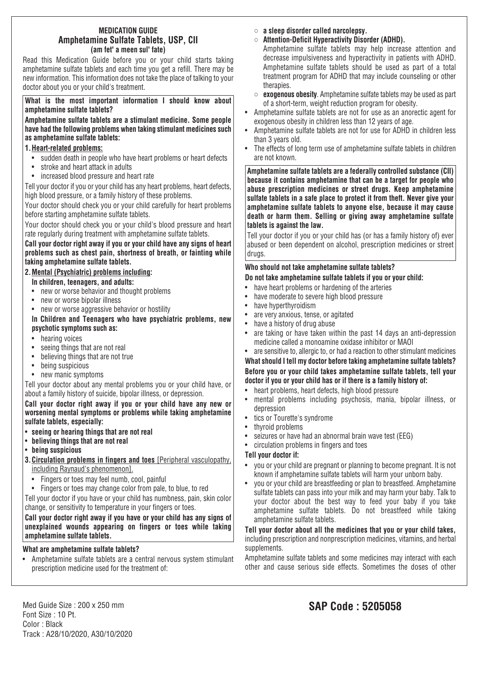#### **MEDICATION GUIDE Amphetamine Sulfate Tablets, USP, CII (am fet' a meen sul' fate)**

Read this Medication Guide before you or your child starts taking amphetamine sulfate tablets and each time you get a refill. There may be new information. This information does not take the place of talking to your doctor about you or your child's treatment.

**What is the most important information I should know about amphetamine sulfate tablets?**

**Amphetamine sulfate tablets are a stimulant medicine. Some people have had the following problems when taking stimulant medicines such as amphetamine sulfate tablets:**

#### **1.Heart-related problems:**

- sudden death in people who have heart problems or heart defects
- stroke and heart attack in adults
- increased blood pressure and heart rate

Tell your doctor if you or your child has any heart problems, heart defects, high blood pressure, or a family history of these problems.

Your doctor should check you or your child carefully for heart problems before starting amphetamine sulfate tablets.

Your doctor should check you or your child's blood pressure and heart rate regularly during treatment with amphetamine sulfate tablets.

**Call your doctor right away if you or your child have any signs of heart problems such as chest pain, shortness of breath, or fainting while taking amphetamine sulfate tablets.**

#### **2.Mental (Psychiatric) problems including:**

#### **In children, teenagers, and adults:**

- new or worse behavior and thought problems
- new or worse bipolar illness
- new or worse aggressive behavior or hostility

**In Children and Teenagers who have psychiatric problems, new psychotic symptoms such as:**

- hearing voices
- seeing things that are not real
- believing things that are not true
- being suspicious
- new manic symptoms

Tell your doctor about any mental problems you or your child have, or about a family history of suicide, bipolar illness, or depression.

**Call your doctor right away if you or your child have any new or worsening mental symptoms or problems while taking amphetamine sulfate tablets, especially:**

- **seeing or hearing things that are not real**
- **believing things that are not real**
- **being suspicious**
- **3.Circulation problems in fingers and toes** [Peripheral vasculopathy, including Raynaud's phenomenon].
	- Fingers or toes may feel numb, cool, painful
	- Fingers or toes may change color from pale, to blue, to red

Tell your doctor if you have or your child has numbness, pain, skin color change, or sensitivity to temperature in your fingers or toes.

#### **Call your doctor right away if you have or your child has any signs of unexplained wounds appearing on fingers or toes while taking amphetamine sulfate tablets.**

## **What are amphetamine sulfate tablets?**

• Amphetamine sulfate tablets are a central nervous system stimulant prescription medicine used for the treatment of:

- **a sleep disorder called narcolepsy.**
- **Attention-Deficit Hyperactivity Disorder (ADHD).**

Amphetamine sulfate tablets may help increase attention and decrease impulsiveness and hyperactivity in patients with ADHD. Amphetamine sulfate tablets should be used as part of a total treatment program for ADHD that may include counseling or other therapies.

- **exogenous obesity**. Amphetamine sulfate tablets may be used as part of a short-term, weight reduction program for obesity.
- Amphetamine sulfate tablets are not for use as an anorectic agent for exogenous obesity in children less than 12 years of age.
- Amphetamine sulfate tablets are not for use for ADHD in children less than 3 years old.
- The effects of long term use of amphetamine sulfate tablets in children are not known.

**Amphetamine sulfate tablets are a federally controlled substance (CII) because it contains amphetamine that can be a target for people who abuse prescription medicines or street drugs. Keep amphetamine sulfate tablets in a safe place to protect it from theft. Never give your amphetamine sulfate tablets to anyone else, because it may cause death or harm them. Selling or giving away amphetamine sulfate tablets is against the law.**

Tell your doctor if you or your child has (or has a family history of) ever abused or been dependent on alcohol, prescription medicines or street drugs.

## **Who should not take amphetamine sulfate tablets?**

## **Do not take amphetamine sulfate tablets if you or your child:**

- have heart problems or hardening of the arteries
- have moderate to severe high blood pressure
- have hyperthyroidism
- are very anxious, tense, or agitated
- have a history of drug abuse
- are taking or have taken within the past 14 days an anti-depression medicine called a monoamine oxidase inhibitor or MAOI
- are sensitive to, allergic to, or had a reaction to other stimulant medicines

**What should I tell my doctor before taking amphetamine sulfate tablets? Before you or your child takes amphetamine sulfate tablets, tell your doctor if you or your child has or if there is a family history of:**

- heart problems, heart defects, high blood pressure
- mental problems including psychosis, mania, bipolar illness, or depression
- tics or Tourette's syndrome
- thyroid problems
- seizures or have had an abnormal brain wave test (EEG)
- circulation problems in fingers and toes

### **Tell your doctor if:**

- you or your child are pregnant or planning to become pregnant. It is not known if amphetamine sulfate tablets will harm your unborn baby.
- you or your child are breastfeeding or plan to breastfeed. Amphetamine sulfate tablets can pass into your milk and may harm your baby. Talk to your doctor about the best way to feed your baby if you take amphetamine sulfate tablets. Do not breastfeed while taking amphetamine sulfate tablets.

**Tell your doctor about all the medicines that you or your child takes,** including prescription and nonprescription medicines, vitamins, and herbal supplements.

Amphetamine sulfate tablets and some medicines may interact with each other and cause serious side effects. Sometimes the doses of other